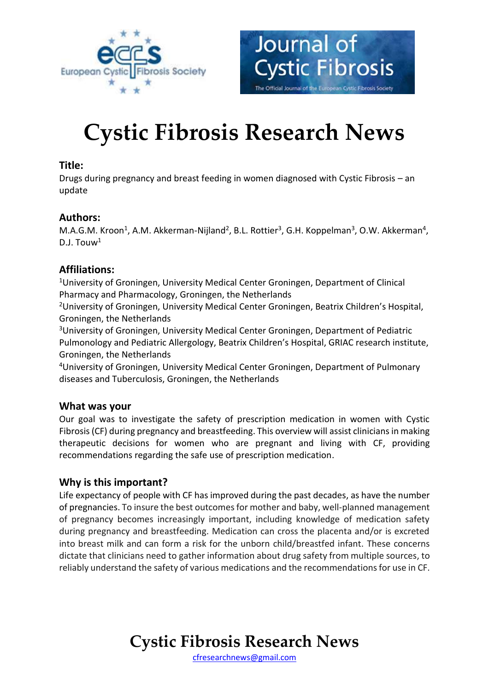



# **Cystic Fibrosis Research News**

### **Title:**

Drugs during pregnancy and breast feeding in women diagnosed with Cystic Fibrosis – an update

## **Authors:**

M.A.G.M. Kroon<sup>1</sup>, A.M. Akkerman-Nijland<sup>2</sup>, B.L. Rottier<sup>3</sup>, G.H. Koppelman<sup>3</sup>, O.W. Akkerman<sup>4</sup>,  $D.I.$  Touw<sup>1</sup>

## **Affiliations:**

<sup>1</sup>University of Groningen, University Medical Center Groningen, Department of Clinical Pharmacy and Pharmacology, Groningen, the Netherlands

<sup>2</sup>University of Groningen, University Medical Center Groningen, Beatrix Children's Hospital, Groningen, the Netherlands

<sup>3</sup>University of Groningen, University Medical Center Groningen, Department of Pediatric Pulmonology and Pediatric Allergology, Beatrix Children's Hospital, GRIAC research institute, Groningen, the Netherlands

<sup>4</sup>University of Groningen, University Medical Center Groningen, Department of Pulmonary diseases and Tuberculosis, Groningen, the Netherlands

#### **What was your**

Our goal was to investigate the safety of prescription medication in women with Cystic Fibrosis (CF) during pregnancy and breastfeeding. This overview will assist clinicians in making therapeutic decisions for women who are pregnant and living with CF, providing recommendations regarding the safe use of prescription medication.

# **Why is this important?**

Life expectancy of people with CF has improved during the past decades, as have the number of pregnancies. To insure the best outcomes for mother and baby, well-planned management of pregnancy becomes increasingly important, including knowledge of medication safety during pregnancy and breastfeeding. Medication can cross the placenta and/or is excreted into breast milk and can form a risk for the unborn child/breastfed infant. These concerns dictate that clinicians need to gather information about drug safety from multiple sources, to reliably understand the safety of various medications and the recommendations for use in CF.

# **Cystic Fibrosis Research News**

[cfresearchnews@gmail.com](mailto:cfresearchnews@gmail.com)